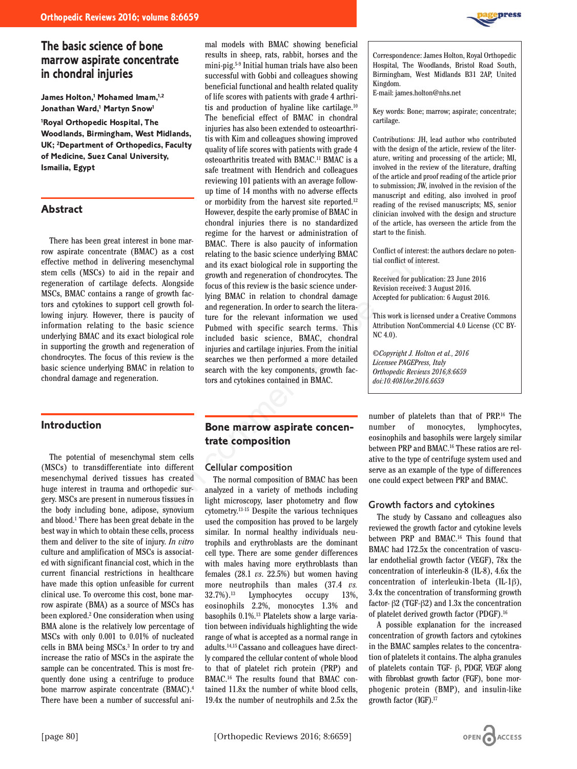# **The basic science of bone marrow aspirate concentrate in chondral injuries**

James Holton,<sup>1</sup> Mohamed Imam,<sup>1,2</sup> **Jonathan Ward,1 Martyn Snow1**

**1 Royal Orthopedic Hospital, The Woodlands, Birmingham, West Midlands, UK; 2 Department of Orthopedics, Faculty of Medicine, Suez Canal University, Ismailia, Egypt**

## **Abstract**

There has been great interest in bone marrow aspirate concentrate (BMAC) as a cost effective method in delivering mesenchymal stem cells (MSCs) to aid in the repair and regeneration of cartilage defects. Alongside MSCs, BMAC contains a range of growth factors and cytokines to support cell growth following injury. However, there is paucity of information relating to the basic science underlying BMAC and its exact biological role in supporting the growth and regeneration of chondrocytes. The focus of this review is the basic science underlying BMAC in relation to chondral damage and regeneration.

### **Introduction**

The potential of mesenchymal stem cells (MSCs) to transdifferentiate into different mesenchymal derived tissues has created huge interest in trauma and orthopedic surgery. MSCs are present in numerous tissues in the body including bone, adipose, synovium and blood.1 There has been great debate in the best way in which to obtain these cells, process them and deliver to the site of injury. *In vitro* culture and amplification of MSCs is associated with significant financial cost, which in the current financial restrictions in healthcare have made this option unfeasible for current clinical use. To overcome this cost, bone marrow aspirate (BMA) as a source of MSCs has been explored.2 One consideration when using BMA alone is the relatively low percentage of MSCs with only 0.001 to 0.01% of nucleated cells in BMA being MSCs.3 In order to try and increase the ratio of MSCs in the aspirate the sample can be concentrated. This is most frequently done using a centrifuge to produce bone marrow aspirate concentrate (BMAC).4 There have been a number of successful ani-

mal models with BMAC showing beneficial results in sheep, rats, rabbit, horses and the mini-pig.5-9 Initial human trials have also been successful with Gobbi and colleagues showing beneficial functional and health related quality of life scores with patients with grade 4 arthritis and production of hyaline like cartilage.<sup>10</sup> The beneficial effect of BMAC in chondral injuries has also been extended to osteoarthritis with Kim and colleagues showing improved quality of life scores with patients with grade 4 osteoarthritis treated with BMAC.11 BMAC is a safe treatment with Hendrich and colleagues reviewing 101 patients with an average followup time of 14 months with no adverse effects or morbidity from the harvest site reported.12 However, despite the early promise of BMAC in chondral injuries there is no standardized regime for the harvest or administration of BMAC. There is also paucity of information relating to the basic science underlying BMAC and its exact biological role in supporting the growth and regeneration of chondrocytes. The focus of this review is the basic science underlying BMAC in relation to chondral damage and regeneration. In order to search the literature for the relevant information we used Pubmed with specific search terms. This included basic science, BMAC, chondral injuries and cartilage injuries. From the initial searches we then performed a more detailed search with the key components, growth factors and cytokines contained in BMAC. C) as a cost relating to the basic science underlying BMAC<br>
mesenchymal and its exact biological role in supporting the distorting the<br>
tend growth and regeneration of chondrocytes. The<br>
the comparison received for public

# **Bone marrow aspirate concentrate composition**

### Cellular composition

The normal composition of BMAC has been analyzed in a variety of methods including light microscopy, laser photometry and flow cytometry.13-15 Despite the various techniques used the composition has proved to be largely similar. In normal healthy individuals neutrophils and erythroblasts are the dominant cell type. There are some gender differences with males having more erythroblasts than females (28.1 *vs*. 22.5%) but women having more neutrophils than males (37.4 *vs.* 32.7%).13 Lymphocytes occupy 13%, eosinophils 2.2%, monocytes 1.3% and basophils 0.1%.13 Platelets show a large variation between individuals highlighting the wide range of what is accepted as a normal range in adults.14,15 Cassano and colleagues have directly compared the cellular content of whole blood to that of platelet rich protein (PRP) and BMAC.16 The results found that BMAC contained 11.8x the number of white blood cells, 19.4x the number of neutrophils and 2.5x the



Correspondence: James Holton, Royal Orthopedic Hospital, The Woodlands, Bristol Road South, Birmingham, West Midlands B31 2AP, United Kingdom.

E-mail: james.holton@nhs.net

Key words: Bone; marrow; aspirate; concentrate; cartilage.

Contributions: JH, lead author who contributed with the design of the article, review of the literature, writing and processing of the article; MI, involved in the review of the literature, drafting of the article and proof reading of the article prior to submission; JW, involved in the revision of the manuscript and editing, also involved in proof reading of the revised manuscripts; MS, senior clinician involved with the design and structure of the article, has overseen the article from the start to the finish.

Conflict of interest: the authors declare no potential conflict of interest.

Received for publication: 23 June 2016 Revision received: 3 August 2016. Accepted for publication: 6 August 2016.

This work is licensed under a Creative Commons Attribution NonCommercial 4.0 License (CC BY-NC 4.0).

*©Copyright J. Holton et al., 2016 Licensee PAGEPress, Italy Orthopedic Reviews 2016;8:6659 doi:10.4081/or.2016.6659*

number of platelets than that of PRP.16 The number of monocytes, lymphocytes, eosinophils and basophils were largely similar between PRP and BMAC.<sup>16</sup> These ratios are relative to the type of centrifuge system used and serve as an example of the type of differences one could expect between PRP and BMAC.

### Growth factors and cytokines

The study by Cassano and colleagues also reviewed the growth factor and cytokine levels between PRP and BMAC.16 This found that BMAC had 172.5x the concentration of vascular endothelial growth factor (VEGF), 78x the concentration of interleukin-8 (IL-8), 4.6x the concentration of interleukin-1beta (IL-1β), 3.4x the concentration of transforming growth factor- β2 (TGF-β2) and 1.3x the concentration of platelet derived growth factor (PDGF).16

A possible explanation for the increased concentration of growth factors and cytokines in the BMAC samples relates to the concentration of platelets it contains. The alpha granules of platelets contain TGF- β, PDGF, VEGF along with fibroblast growth factor (FGF), bone morphogenic protein (BMP), and insulin-like growth factor (IGF).17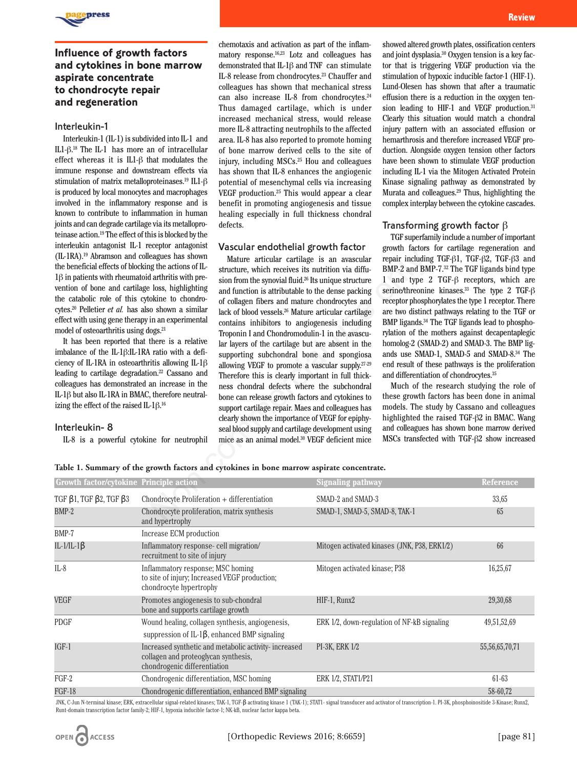

## **Influence of growth factors and cytokines in bone marrow aspirate concentrate to chondrocyte repair and regeneration**

### Interleukin-1

Interleukin-1 (IL-1) is subdivided into IL-1 and IL1-β. <sup>18</sup> The IL-1 has more an of intracellular effect whereas it is IL1-β that modulates the immune response and downstream effects via stimulation of matrix metalloproteinases.19 IL1-β is produced by local monocytes and macrophages involved in the inflammatory response and is known to contribute to inflammation in human joints and can degrade cartilage via its metalloproteinase action.19 The effect of this is blocked by the interleukin antagonist IL-1 receptor antagonist (IL-1RA).19 Abramson and colleagues has shown the beneficial effects of blocking the actions of IL-1β in patients with rheumatoid arthritis with prevention of bone and cartilage loss, highlighting the catabolic role of this cytokine to chondrocytes.20 Pelletier *et al.* has also shown a similar effect with using gene therapy in an experimental model of osteoarthritis using dogs.21

It has been reported that there is a relative imbalance of the IL-1β:IL-1RA ratio with a deficiency of IL-1RA in osteoarthritis allowing IL-1β leading to cartilage degradation.<sup>22</sup> Cassano and colleagues has demonstrated an increase in the IL-1β but also IL-1RA in BMAC, therefore neutralizing the effect of the raised IL-1β. 16

#### Interleukin- 8

IL-8 is a powerful cytokine for neutrophil

chemotaxis and activation as part of the inflammatory response.16,23 Lotz and colleagues has demonstrated that IL-1β and TNF can stimulate IL-8 release from chondrocytes.23 Chauffer and colleagues has shown that mechanical stress can also increase IL-8 from chondrocytes.<sup>24</sup> Thus damaged cartilage, which is under increased mechanical stress, would release more IL-8 attracting neutrophils to the affected area. IL-8 has also reported to promote homing of bone marrow derived cells to the site of injury, including MSCs.25 Hou and colleagues has shown that IL-8 enhances the angiogenic potential of mesenchymal cells via increasing VEGF production.25 This would appear a clear benefit in promoting angiogenesis and tissue healing especially in full thickness chondral defects.

#### Vascular endothelial growth factor

Mature articular cartilage is an avascular structure, which receives its nutrition via diffusion from the synovial fluid.26 Its unique structure and function is attributable to the dense packing of collagen fibers and mature chondrocytes and lack of blood vessels.26 Mature articular cartilage contains inhibitors to angiogenesis including Troponin I and Chondromodulin-1 in the avascular layers of the cartilage but are absent in the supporting subchondral bone and spongiosa allowing VEGF to promote a vascular supply. $27-29$ Therefore this is clearly important in full thickness chondral defects where the subchondral bone can release growth factors and cytokines to support cartilage repair. Maes and colleagues has clearly shown the importance of VEGF for epiphyseal blood supply and cartilage development using mice as an animal model.30 VEGF deficient mice eagues has shown<br>
Mature articular cartilage is an avascular repair including<br>
the actions of L.<br>
structure, which receives its nutrition via diffu-<br>
I and type and DM<br>
loss, highlighting<br>
and function is attributable to t

 *Review Address Contract Contract Contract Contract Contract Contract Contract Contract Contract Contract Contract Contract Contract Contract Contract Contract Contract Contract Contract Contract Contract Contract Contra* 

showed altered growth plates, ossification centers and joint dysplasia.30 Oxygen tension is a key factor that is triggering VEGF production via the stimulation of hypoxic inducible factor-1 (HIF-1). Lund-Olesen has shown that after a traumatic effusion there is a reduction in the oxygen tension leading to HIF-1 and VEGF production.<sup>31</sup> Clearly this situation would match a chondral injury pattern with an associated effusion or hemarthrosis and therefore increased VEGF production. Alongside oxygen tension other factors have been shown to stimulate VEGF production including IL-1 via the Mitogen Activated Protein Kinase signaling pathway as demonstrated by Murata and colleagues.29 Thus, highlighting the complex interplay between the cytokine cascades.

#### Transforming growth factor β

TGF superfamily include a number of important growth factors for cartilage regeneration and repair including TGF-β1, TGF-β2, TGF-β3 and BMP-2 and BMP-7.32 The TGF ligands bind type 1 and type 2 TGF-β receptors, which are serine/threonine kinases.<sup>33</sup> The type 2 TGF-β receptor phosphorylates the type 1 receptor. There are two distinct pathways relating to the TGF or BMP ligands.34 The TGF ligands lead to phosphorylation of the mothers against decapentaplegic homolog-2 (SMAD-2) and SMAD-3. The BMP ligands use SMAD-1, SMAD-5 and SMAD-8.34 The end result of these pathways is the proliferation and differentiation of chondrocytes.35

Much of the research studying the role of these growth factors has been done in animal models. The study by Cassano and colleagues highlighted the raised TGF-β2 in BMAC. Wang and colleagues has shown bone marrow derived MSCs transfected with TGF-β2 show increased

|  |  |  | Table 1. Summary of the growth factors and cytokines in bone marrow aspirate concentrate. |
|--|--|--|-------------------------------------------------------------------------------------------|
|  |  |  |                                                                                           |

| <b>Growth factor/cytokine Principle action</b> |                                                                                                                              | <b>Signaling pathway</b>                     | <b>Reference</b>   |
|------------------------------------------------|------------------------------------------------------------------------------------------------------------------------------|----------------------------------------------|--------------------|
| TGF $\beta$ 1, TGF $\beta$ 2, TGF $\beta$ 3    | Chondrocyte Proliferation + differentiation                                                                                  | SMAD-2 and SMAD-3                            | 33,65              |
| $BMP-2$                                        | Chondrocyte proliferation, matrix synthesis<br>and hypertrophy                                                               | SMAD-1, SMAD-5, SMAD-8, TAK-1                | 65                 |
| BMP-7                                          | Increase ECM production                                                                                                      |                                              |                    |
| $IL-1/IL-1\beta$                               | Inflammatory response-cell migration/<br>recruitment to site of injury                                                       | Mitogen activated kinases (JNK, P38, ERK1/2) | 66                 |
| $IL-8$                                         | Inflammatory response; MSC homing<br>to site of injury; Increased VEGF production;<br>chondrocyte hypertrophy                | Mitogen activated kinase; P38                | 16,25,67           |
| VEGF                                           | Promotes angiogenesis to sub-chondral<br>bone and supports cartilage growth                                                  | HIF-1, Runx2                                 | 29,30,68           |
| <b>PDGF</b>                                    | Wound healing, collagen synthesis, angiogenesis,<br>suppression of IL-1 $\beta$ , enhanced BMP signaling                     | ERK 1/2, down-regulation of NF-kB signaling  | 49,51,52,69        |
| $IGF-1$                                        | Increased synthetic and metabolic activity-increased<br>collagen and proteoglycan synthesis,<br>chondrogenic differentiation | PI-3K, ERK 1/2                               | 55, 56, 65, 70, 71 |
| $FGF-2$                                        | Chondrogenic differentiation, MSC homing                                                                                     | <b>ERK 1/2, STAT1/P21</b>                    | $61 - 63$          |
| <b>FGF-18</b>                                  | Chondrogenic differentiation, enhanced BMP signaling                                                                         |                                              | 58-60,72           |

JNK, C-Jun N-terminal kinase; ERK, extracellular signal-related kinases; TAK-1, TGF-β activating kinase 1 (TAK-1); STAT1- signal transducer and activator of transcription-1. PI-3K, phosphoinositide 3-Kinase; Runx2, Runt-domain transcription factor family-2; HIF-1, hypoxia inducible factor-1; NK-kB, nuclear factor kappa beta.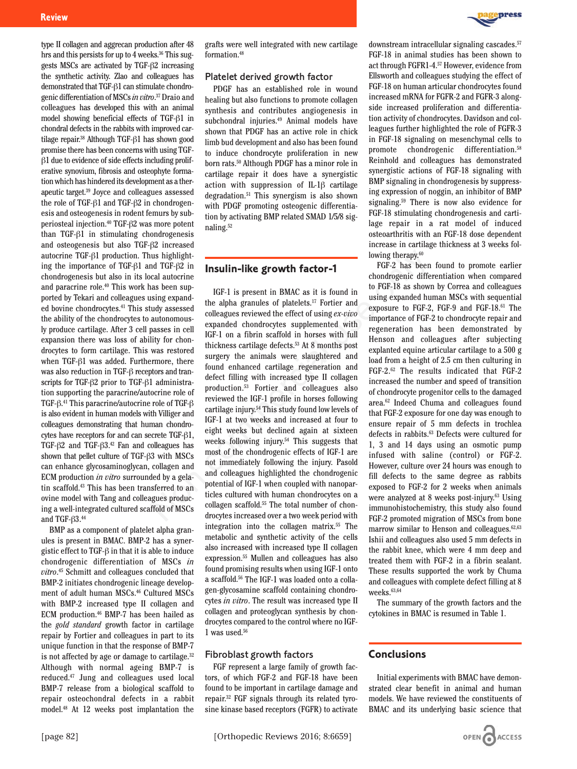



BMP as a component of platelet alpha granules is present in BMAC. BMP-2 has a synergistic effect to TGF-β in that it is able to induce chondrogenic differentiation of MSCs *in vitro*. <sup>45</sup> Schmitt and colleagues concluded that BMP-2 initiates chondrogenic lineage development of adult human MSCs.46 Cultured MSCs with BMP-2 increased type II collagen and ECM production.46 BMP-7 has been hailed as the *gold standard* growth factor in cartilage repair by Fortier and colleagues in part to its unique function in that the response of BMP-7 is not affected by age or damage to cartilage. $32$ Although with normal ageing BMP-7 is reduced.47 Jung and colleagues used local BMP-7 release from a biological scaffold to repair osteochondral defects in a rabbit model.48 At 12 weeks post implantation the grafts were well integrated with new cartilage formation.48

#### Platelet derived growth factor

PDGF has an established role in wound healing but also functions to promote collagen synthesis and contributes angiogenesis in subchondral injuries.<sup>49</sup> Animal models have shown that PDGF has an active role in chick limb bud development and also has been found to induce chondrocyte proliferation in new born rats.50 Although PDGF has a minor role in cartilage repair it does have a synergistic action with suppression of IL-1β cartilage degradation.<sup>51</sup> This synergism is also shown with PDGF promoting osteogenic differentiation by activating BMP related SMAD 1/5/8 signaling.52

#### **Insulin-like growth factor-1**

IGF-1 is present in BMAC as it is found in the alpha granules of platelets.17 Fortier and colleagues reviewed the effect of using *ex-vivo* expanded chondrocytes supplemented with IGF-1 on a fibrin scaffold in horses with full thickness cartilage defects.53 At 8 months post surgery the animals were slaughtered and found enhanced cartilage regeneration and defect filling with increased type II collagen production.53 Fortier and colleagues also reviewed the IGF-1 profile in horses following cartilage injury.54 This study found low levels of IGF-1 at two weeks and increased at four to eight weeks but declined again at sixteen weeks following injury.54 This suggests that most of the chondrogenic effects of IGF-1 are not immediately following the injury. Pasold and colleagues highlighted the chondrogenic potential of IGF-1 when coupled with nanoparticles cultured with human chondrocytes on a collagen scaffold.<sup>55</sup> The total number of chondrocytes increased over a two week period with integration into the collagen matrix.55 The metabolic and synthetic activity of the cells also increased with increased type II collagen expression.55 Mullen and colleagues has also found promising results when using IGF-1 onto a scaffold.56 The IGF-1 was loaded onto a collagen-glycosamine scaffold containing chondrocytes *in vitro*. The result was increased type II collagen and proteoglycan synthesis by chondrocytes compared to the control where no IGF-1 was used.56 ing highlightical interaction and TGF-2 interaction of the community and all the secondary the allow and solen and the diplare and the diplare and the diplare and the diplare and the diplare and the diplare and the diplar

### Fibroblast growth factors

FGF represent a large family of growth factors, of which FGF-2 and FGF-18 have been found to be important in cartilage damage and repair.32 FGF signals through its related tyrosine kinase based receptors (FGFR) to activate downstream intracellular signaling cascades.<sup>57</sup> FGF-18 in animal studies has been shown to act through FGFR1-4.57 However, evidence from Ellsworth and colleagues studying the effect of FGF-18 on human articular chondrocytes found increased mRNA for FGFR-2 and FGFR-3 alongside increased proliferation and differentiation activity of chondrocytes. Davidson and colleagues further highlighted the role of FGFR-3 in FGF-18 signaling on mesenchymal cells to promote chondrogenic differentiation.58 Reinhold and colleagues has demonstrated synergistic actions of FGF-18 signaling with BMP signaling in chondrogenesis by suppressing expression of noggin, an inhibitor of BMP signaling.59 There is now also evidence for FGF-18 stimulating chondrogenesis and cartilage repair in a rat model of induced osteoarthritis with an FGF-18 dose dependent increase in cartilage thickness at 3 weeks following therapy.<sup>60</sup>

FGF-2 has been found to promote earlier chondrogenic differentiation when compared to FGF-18 as shown by Correa and colleagues using expanded human MSCs with sequential exposure to FGF-2, FGF-9 and FGF-18.61 The importance of FGF-2 to chondrocyte repair and regeneration has been demonstrated by Henson and colleagues after subjecting explanted equine articular cartilage to a 500 g load from a height of 2.5 cm then culturing in FGF-2.62 The results indicated that FGF-2 increased the number and speed of transition of chondrocyte progenitor cells to the damaged area.62 Indeed Chuma and colleagues found that FGF-2 exposure for one day was enough to ensure repair of 5 mm defects in trochlea defects in rabbits.63 Defects were cultured for 1, 3 and 14 days using an osmotic pump infused with saline (control) or FGF-2. However, culture over 24 hours was enough to fill defects to the same degree as rabbits exposed to FGF-2 for 2 weeks when animals were analyzed at 8 weeks post-injury.63 Using immunohistochemistry, this study also found FGF-2 promoted migration of MSCs from bone marrow similar to Henson and colleagues.<sup>62,63</sup> Ishii and colleagues also used 5 mm defects in the rabbit knee, which were 4 mm deep and treated them with FGF-2 in a fibrin sealant. These results supported the work by Chuma and colleagues with complete defect filling at 8 weeks.63,64

The summary of the growth factors and the cytokines in BMAC is resumed in Table 1.

### **Conclusions**

Initial experiments with BMAC have demonstrated clear benefit in animal and human models. We have reviewed the constituents of BMAC and its underlying basic science that



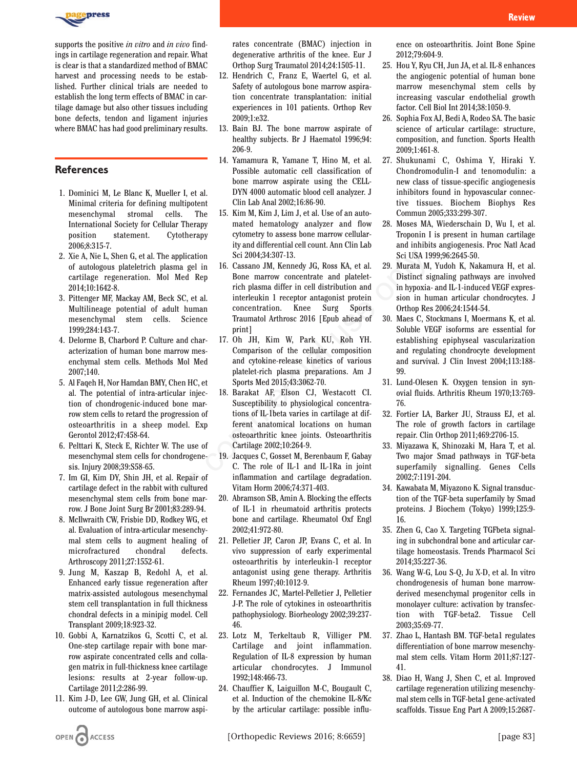

supports the positive *in vitro* and *in vivo* findings in cartilage regeneration and repair. What is clear is that a standardized method of BMAC harvest and processing needs to be established. Further clinical trials are needed to establish the long term effects of BMAC in cartilage damage but also other tissues including bone defects, tendon and ligament injuries where BMAC has had good preliminary results.

### **References**

- 1. Dominici M, Le Blanc K, Mueller I, et al. Minimal criteria for defining multipotent mesenchymal stromal cells. The International Society for Cellular Therapy position statement. Cytotherapy 2006;8:315-7.
- 2. Xie A, Nie L, Shen G, et al. The application of autologous plateletrich plasma gel in cartilage regeneration. Mol Med Rep 2014;10:1642-8.
- 3. Pittenger MF, Mackay AM, Beck SC, et al. Multilineage potential of adult human mesenchymal stem cells. Science 1999;284:143-7.
- 4. Delorme B, Charbord P. Culture and characterization of human bone marrow mesenchymal stem cells. Methods Mol Med 2007;140.
- 5. Al Faqeh H, Nor Hamdan BMY, Chen HC, et al. The potential of intra-articular injection of chondrogenic-induced bone marrow stem cells to retard the progression of osteoarthritis in a sheep model. Exp Gerontol 2012;47:458-64.
- 6. Pelttari K, Steck E, Richter W. The use of mesenchymal stem cells for chondrogenesis. Injury 2008;39:S58-65.
- 7. Im GI, Kim DY, Shin JH, et al. Repair of cartilage defect in the rabbit with cultured mesenchymal stem cells from bone marrow. J Bone Joint Surg Br 2001;83:289-94.
- 8. McIlwraith CW, Frisbie DD, Rodkey WG, et al. Evaluation of intra-articular mesenchymal stem cells to augment healing of microfractured chondral defects. Arthroscopy 2011;27:1552-61.
- 9. Jung M, Kaszap B, Redohl A, et al. Enhanced early tissue regeneration after matrix-assisted autologous mesenchymal stem cell transplantation in full thickness chondral defects in a minipig model. Cell Transplant 2009;18:923-32.
- 10. Gobbi A, Karnatzikos G, Scotti C, et al. One-step cartilage repair with bone marrow aspirate concentrated cells and collagen matrix in full-thickness knee cartilage lesions: results at 2-year follow-up. Cartilage 2011;2:286-99.
- 11. Kim J-D, Lee GW, Jung GH, et al. Clinical outcome of autologous bone marrow aspi-

rates concentrate (BMAC) injection in degenerative arthritis of the knee. Eur J Orthop Surg Traumatol 2014;24:1505-11.

- 12. Hendrich C, Franz E, Waertel G, et al. Safety of autologous bone marrow aspiration concentrate transplantation: initial experiences in 101 patients. Orthop Rev 2009;1:e32.
- 13. Bain BJ. The bone marrow aspirate of healthy subjects. Br J Haematol 1996;94: 206-9.
- 14. Yamamura R, Yamane T, Hino M, et al. Possible automatic cell classification of bone marrow aspirate using the CELL-DYN 4000 automatic blood cell analyzer. J Clin Lab Anal 2002;16:86-90.
- 15. Kim M, Kim J, Lim J, et al. Use of an automated hematology analyzer and flow cytometry to assess bone marrow cellularity and differential cell count. Ann Clin Lab Sci 2004;34:307-13.
- 16. Cassano JM, Kennedy JG, Ross KA, et al. Bone marrow concentrate and plateletrich plasma differ in cell distribution and interleukin 1 receptor antagonist protein concentration. Knee Surg Sports Traumatol Arthrosc 2016 [Epub ahead of print] d. The application Sci 2004;34:307-13. Sci USA 15<br>  $\mu$ , Holmon gel in 16. Cassano JM, Kennedy JG, Ross KA, et al. 29. Murata M,<br>  $\mu$ , Beck SC, et al. interleukin 1 receptor antagonist profession and patelet-<br>  $\mu$ , Beck
	- 17. Oh JH, Kim W, Park KU, Roh YH. Comparison of the cellular composition and cytokine-release kinetics of various platelet-rich plasma preparations. Am J Sports Med 2015;43:3062-70.
	- 18. Barakat AF, Elson CJ, Westacott CI. Susceptibility to physiological concentrations of IL-1beta varies in cartilage at different anatomical locations on human osteoarthritic knee joints. Osteoarthritis Cartilage 2002;10:264-9.
	- 19. Jacques C, Gosset M, Berenbaum F, Gabay C. The role of IL-1 and IL-1Ra in joint inflammation and cartilage degradation. Vitam Horm 2006;74:371-403.
	- 20. Abramson SB, Amin A. Blocking the effects of IL-1 in rheumatoid arthritis protects bone and cartilage. Rheumatol Oxf Engl 2002;41:972-80.
	- 21. Pelletier JP, Caron JP, Evans C, et al. In vivo suppression of early experimental osteoarthritis by interleukin-1 receptor antagonist using gene therapy. Arthritis Rheum 1997;40:1012-9.
	- 22. Fernandes JC, Martel-Pelletier J, Pelletier J-P. The role of cytokines in osteoarthritis pathophysiology. Biorheology 2002;39:237- 46.
	- 23. Lotz M, Terkeltaub R, Villiger PM. Cartilage and joint inflammation. Regulation of IL-8 expression by human articular chondrocytes. J Immunol 1992;148:466-73.
	- 24. Chauffier K, Laiguillon M-C, Bougault C, et al. Induction of the chemokine IL-8/Kc by the articular cartilage: possible influ-

ence on osteoarthritis. Joint Bone Spine 2012;79:604-9.

- 25. Hou Y, Ryu CH, Jun JA, et al. IL-8 enhances the angiogenic potential of human bone marrow mesenchymal stem cells by increasing vascular endothelial growth factor. Cell Biol Int 2014;38:1050-9.
- 26. Sophia Fox AJ, Bedi A, Rodeo SA. The basic science of articular cartilage: structure, composition, and function. Sports Health 2009;1:461-8.
- 27. Shukunami C, Oshima Y, Hiraki Y. Chondromodulin-I and tenomodulin: a new class of tissue-specific angiogenesis inhibitors found in hypovascular connective tissues. Biochem Biophys Res Commun 2005;333:299-307.
- 28. Moses MA, Wiederschain D, Wu I, et al. Troponin I is present in human cartilage and inhibits angiogenesis. Proc Natl Acad Sci USA 1999;96:2645-50.
- 29. Murata M, Yudoh K, Nakamura H, et al. Distinct signaling pathways are involved in hypoxia- and IL-1-induced VEGF expression in human articular chondrocytes. J Orthop Res 2006;24:1544-54.
- 30. Maes C, Stockmans I, Moermans K, et al. Soluble VEGF isoforms are essential for establishing epiphyseal vascularization and regulating chondrocyte development and survival. J Clin Invest 2004;113:188- 99.
- 31. Lund-Olesen K. Oxygen tension in synovial fluids. Arthritis Rheum 1970;13:769- 76.
- 32. Fortier LA, Barker JU, Strauss EJ, et al. The role of growth factors in cartilage repair. Clin Orthop 2011;469:2706-15.
- 33. Miyazawa K, Shinozaki M, Hara T, et al. Two major Smad pathways in TGF-beta superfamily signalling. Genes Cells 2002;7:1191-204.
- 34. Kawabata M, Miyazono K. Signal transduction of the TGF-beta superfamily by Smad proteins. J Biochem (Tokyo) 1999;125:9- 16.
- 35. Zhen G, Cao X. Targeting TGFbeta signaling in subchondral bone and articular cartilage homeostasis. Trends Pharmacol Sci 2014;35:227-36.
- 36. Wang W-G, Lou S-Q, Ju X-D, et al. In vitro chondrogenesis of human bone marrowderived mesenchymal progenitor cells in monolayer culture: activation by transfection with TGF-beta2. Tissue Cell 2003;35:69-77.
- 37. Zhao L, Hantash BM. TGF-beta1 regulates differentiation of bone marrow mesenchymal stem cells. Vitam Horm 2011;87:127- 41.
- 38. Diao H, Wang J, Shen C, et al. Improved cartilage regeneration utilizing mesenchymal stem cells in TGF-beta1 gene-activated scaffolds. Tissue Eng Part A 2009;15:2687-